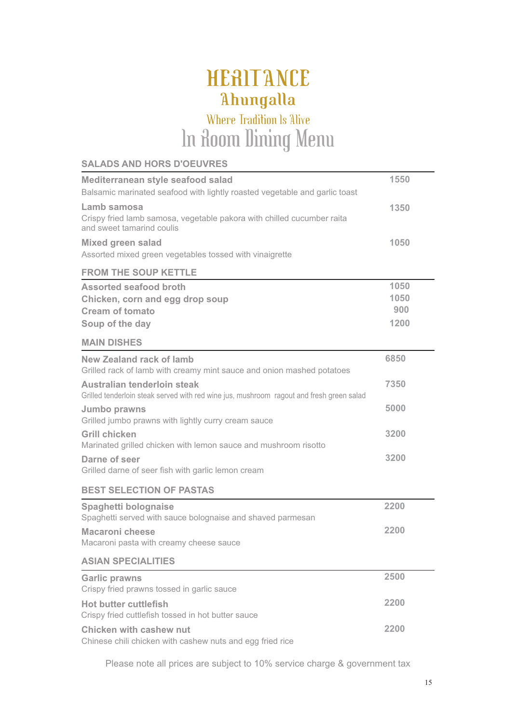## HERITANCE Ahungalla

## In Room Dining Menu Where Tradition Is Alive

#### **SALADS AND HORS D'OEUVRES**

| Mediterranean style seafood salad                                                                   | 1550 |
|-----------------------------------------------------------------------------------------------------|------|
| Balsamic marinated seafood with lightly roasted vegetable and garlic toast                          |      |
| Lamb samosa                                                                                         | 1350 |
| Crispy fried lamb samosa, vegetable pakora with chilled cucumber raita<br>and sweet tamarind coulis |      |
| <b>Mixed green salad</b>                                                                            | 1050 |
| Assorted mixed green vegetables tossed with vinaigrette                                             |      |
| <b>FROM THE SOUP KETTLE</b>                                                                         |      |
| <b>Assorted seafood broth</b>                                                                       | 1050 |
| Chicken, corn and egg drop soup                                                                     | 1050 |
| <b>Cream of tomato</b>                                                                              | 900  |
| Soup of the day                                                                                     | 1200 |
| <b>MAIN DISHES</b>                                                                                  |      |
| New Zealand rack of lamb<br>Grilled rack of lamb with creamy mint sauce and onion mashed potatoes   | 6850 |
| Australian tenderloin steak                                                                         | 7350 |
| Grilled tenderloin steak served with red wine jus, mushroom ragout and fresh green salad            |      |
| Jumbo prawns<br>Grilled jumbo prawns with lightly curry cream sauce                                 | 5000 |
| <b>Grill chicken</b>                                                                                | 3200 |
| Marinated grilled chicken with lemon sauce and mushroom risotto                                     |      |
| Darne of seer                                                                                       | 3200 |
| Grilled darne of seer fish with garlic lemon cream                                                  |      |
| <b>BEST SELECTION OF PASTAS</b>                                                                     |      |
| Spaghetti bolognaise                                                                                | 2200 |
| Spaghetti served with sauce bolognaise and shaved parmesan                                          |      |
| <b>Macaroni cheese</b>                                                                              | 2200 |
| Macaroni pasta with creamy cheese sauce                                                             |      |
| <b>ASIAN SPECIALITIES</b>                                                                           |      |
| <b>Garlic prawns</b><br>Crispy fried prawns tossed in garlic sauce                                  | 2500 |
| <b>Hot butter cuttlefish</b>                                                                        | 2200 |
| Crispy fried cuttlefish tossed in hot butter sauce                                                  |      |
| Chicken with cashew nut                                                                             | 2200 |
| Chinese chili chicken with cashew nuts and egg fried rice                                           |      |

Please note all prices are subject to 10% service charge & government tax